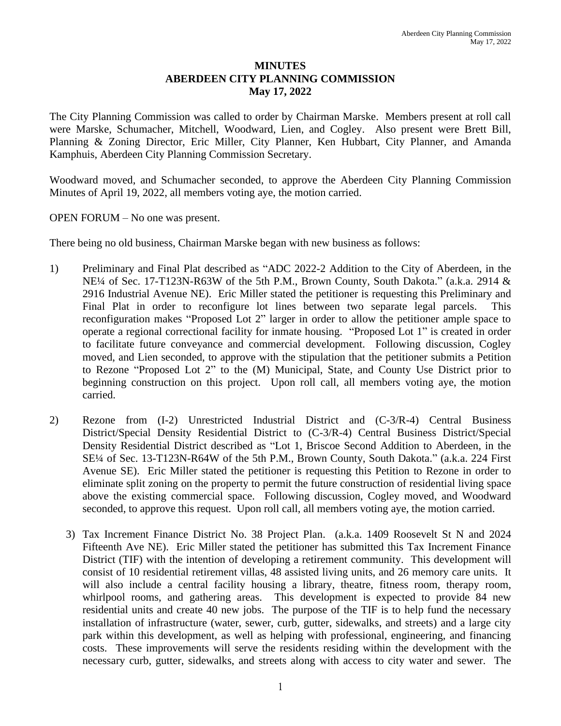## **MINUTES ABERDEEN CITY PLANNING COMMISSION May 17, 2022**

The City Planning Commission was called to order by Chairman Marske. Members present at roll call were Marske, Schumacher, Mitchell, Woodward, Lien, and Cogley. Also present were Brett Bill, Planning & Zoning Director, Eric Miller, City Planner, Ken Hubbart, City Planner, and Amanda Kamphuis, Aberdeen City Planning Commission Secretary.

Woodward moved, and Schumacher seconded, to approve the Aberdeen City Planning Commission Minutes of April 19, 2022, all members voting aye, the motion carried.

## OPEN FORUM – No one was present.

There being no old business, Chairman Marske began with new business as follows:

- 1) Preliminary and Final Plat described as "ADC 2022-2 Addition to the City of Aberdeen, in the NE<sup>1</sup>/4 of Sec. 17-T123N-R63W of the 5th P.M., Brown County, South Dakota." (a.k.a. 2914 & 2916 Industrial Avenue NE). Eric Miller stated the petitioner is requesting this Preliminary and Final Plat in order to reconfigure lot lines between two separate legal parcels. This reconfiguration makes "Proposed Lot 2" larger in order to allow the petitioner ample space to operate a regional correctional facility for inmate housing. "Proposed Lot 1" is created in order to facilitate future conveyance and commercial development. Following discussion, Cogley moved, and Lien seconded, to approve with the stipulation that the petitioner submits a Petition to Rezone "Proposed Lot 2" to the (M) Municipal, State, and County Use District prior to beginning construction on this project. Upon roll call, all members voting aye, the motion carried.
- 2) Rezone from (I-2) Unrestricted Industrial District and (C-3/R-4) Central Business District/Special Density Residential District to (C-3/R-4) Central Business District/Special Density Residential District described as "Lot 1, Briscoe Second Addition to Aberdeen, in the SE¼ of Sec. 13-T123N-R64W of the 5th P.M., Brown County, South Dakota." (a.k.a. 224 First Avenue SE). Eric Miller stated the petitioner is requesting this Petition to Rezone in order to eliminate split zoning on the property to permit the future construction of residential living space above the existing commercial space. Following discussion, Cogley moved, and Woodward seconded, to approve this request. Upon roll call, all members voting aye, the motion carried.
	- 3) Tax Increment Finance District No. 38 Project Plan. (a.k.a. 1409 Roosevelt St N and 2024 Fifteenth Ave NE). Eric Miller stated the petitioner has submitted this Tax Increment Finance District (TIF) with the intention of developing a retirement community. This development will consist of 10 residential retirement villas, 48 assisted living units, and 26 memory care units. It will also include a central facility housing a library, theatre, fitness room, therapy room, whirlpool rooms, and gathering areas. This development is expected to provide 84 new residential units and create 40 new jobs. The purpose of the TIF is to help fund the necessary installation of infrastructure (water, sewer, curb, gutter, sidewalks, and streets) and a large city park within this development, as well as helping with professional, engineering, and financing costs. These improvements will serve the residents residing within the development with the necessary curb, gutter, sidewalks, and streets along with access to city water and sewer. The